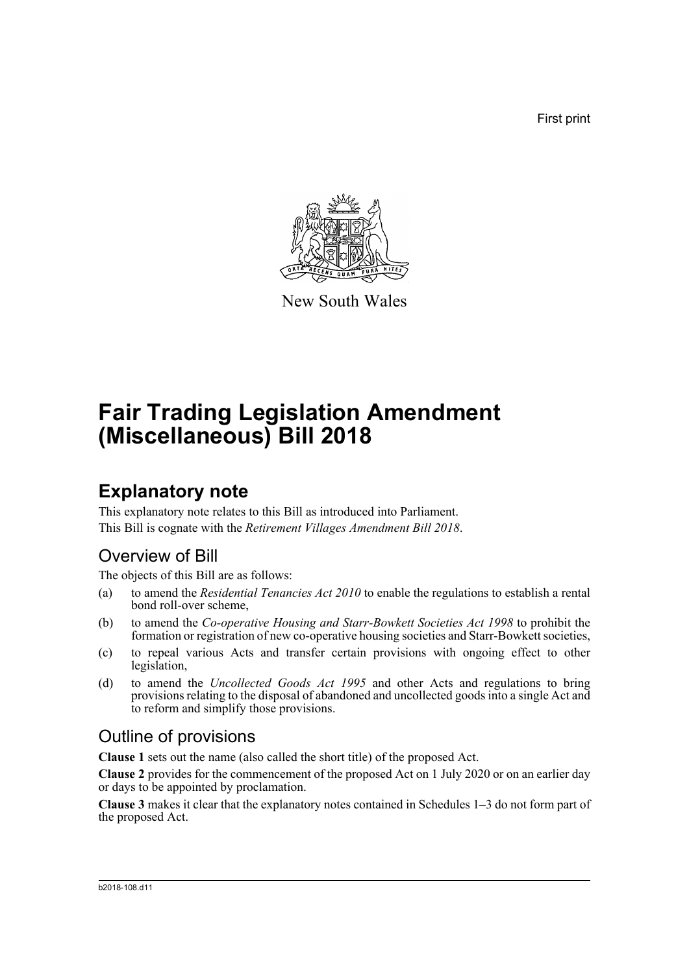First print



New South Wales

# **Fair Trading Legislation Amendment (Miscellaneous) Bill 2018**

# **Explanatory note**

This explanatory note relates to this Bill as introduced into Parliament. This Bill is cognate with the *Retirement Villages Amendment Bill 2018*.

# Overview of Bill

The objects of this Bill are as follows:

- (a) to amend the *Residential Tenancies Act 2010* to enable the regulations to establish a rental bond roll-over scheme,
- (b) to amend the *Co-operative Housing and Starr-Bowkett Societies Act 1998* to prohibit the formation or registration of new co-operative housing societies and Starr-Bowkett societies,
- (c) to repeal various Acts and transfer certain provisions with ongoing effect to other legislation,
- (d) to amend the *Uncollected Goods Act 1995* and other Acts and regulations to bring provisions relating to the disposal of abandoned and uncollected goods into a single Act and to reform and simplify those provisions.

## Outline of provisions

**Clause 1** sets out the name (also called the short title) of the proposed Act.

**Clause 2** provides for the commencement of the proposed Act on 1 July 2020 or on an earlier day or days to be appointed by proclamation.

**Clause 3** makes it clear that the explanatory notes contained in Schedules 1–3 do not form part of the proposed Act.

#### b2018-108.d11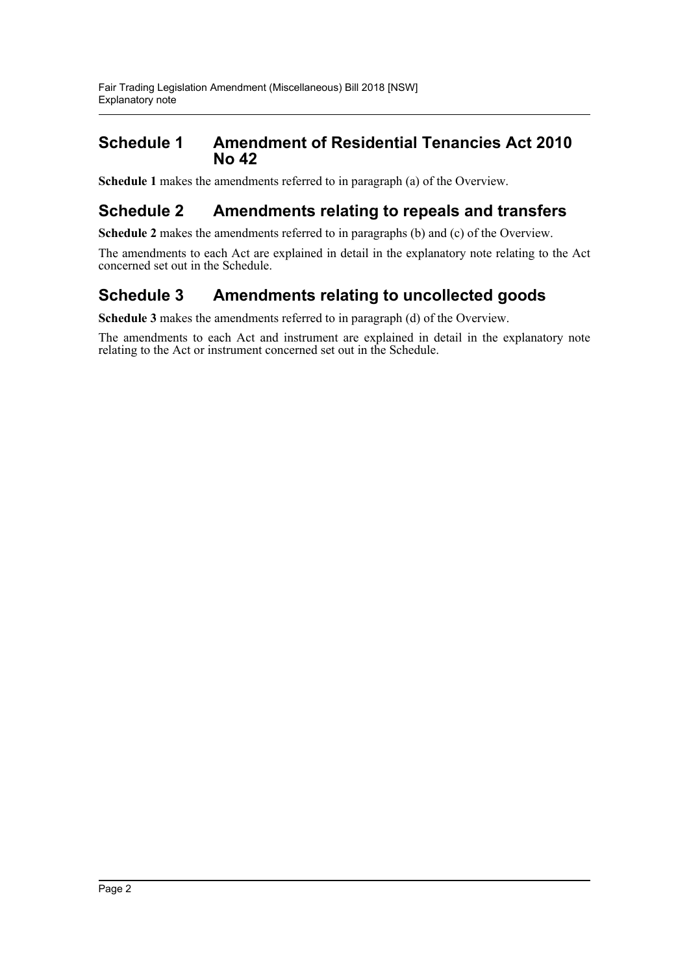### **Schedule 1 Amendment of Residential Tenancies Act 2010 No 42**

**Schedule 1** makes the amendments referred to in paragraph (a) of the Overview.

## **Schedule 2 Amendments relating to repeals and transfers**

**Schedule 2** makes the amendments referred to in paragraphs (b) and (c) of the Overview.

The amendments to each Act are explained in detail in the explanatory note relating to the Act concerned set out in the Schedule.

## **Schedule 3 Amendments relating to uncollected goods**

**Schedule 3** makes the amendments referred to in paragraph (d) of the Overview.

The amendments to each Act and instrument are explained in detail in the explanatory note relating to the Act or instrument concerned set out in the Schedule.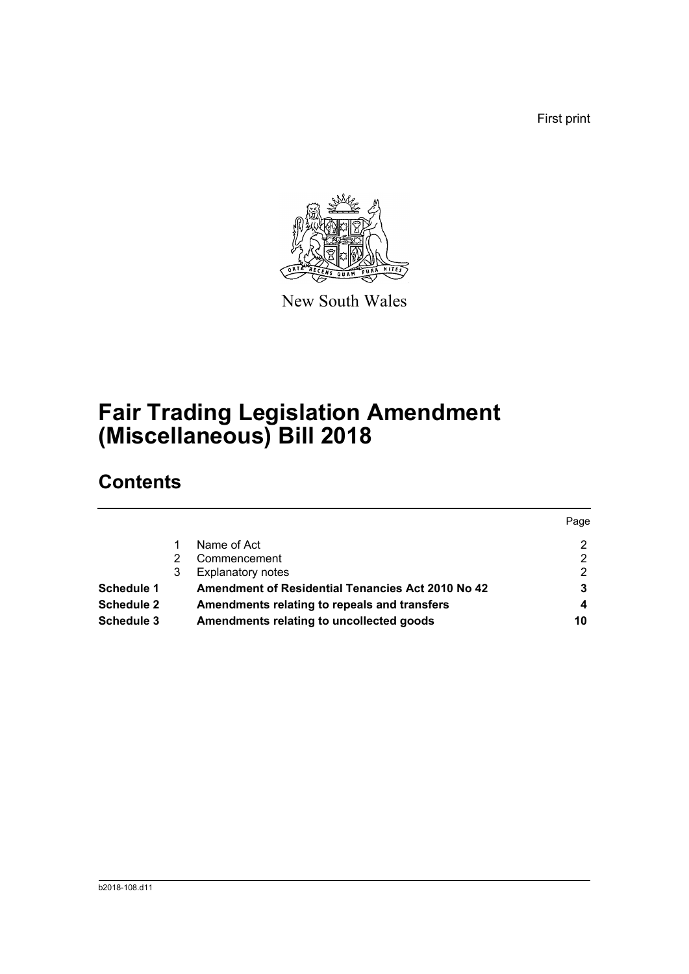First print



New South Wales

# **Fair Trading Legislation Amendment (Miscellaneous) Bill 2018**

# **Contents**

|                   |   |                                                          | Page |
|-------------------|---|----------------------------------------------------------|------|
|                   |   | Name of Act                                              | 2    |
|                   |   | Commencement                                             | 2    |
|                   | 3 | <b>Explanatory notes</b>                                 | 2    |
| <b>Schedule 1</b> |   | <b>Amendment of Residential Tenancies Act 2010 No 42</b> | 3    |
| <b>Schedule 2</b> |   | Amendments relating to repeals and transfers             |      |
| <b>Schedule 3</b> |   | Amendments relating to uncollected goods                 | 10   |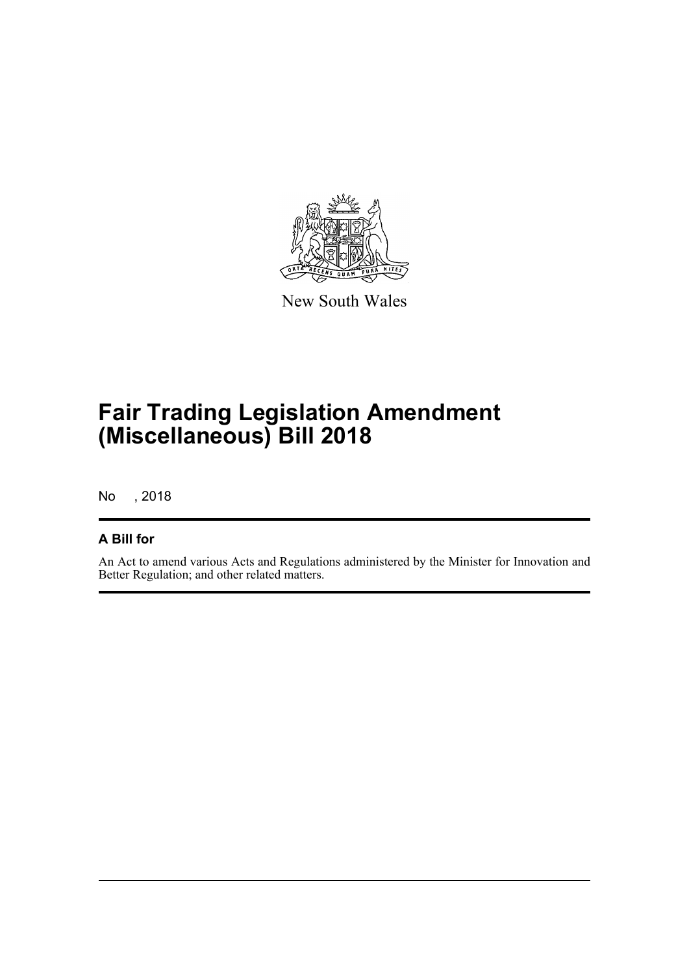

New South Wales

# **Fair Trading Legislation Amendment (Miscellaneous) Bill 2018**

No , 2018

### **A Bill for**

An Act to amend various Acts and Regulations administered by the Minister for Innovation and Better Regulation; and other related matters.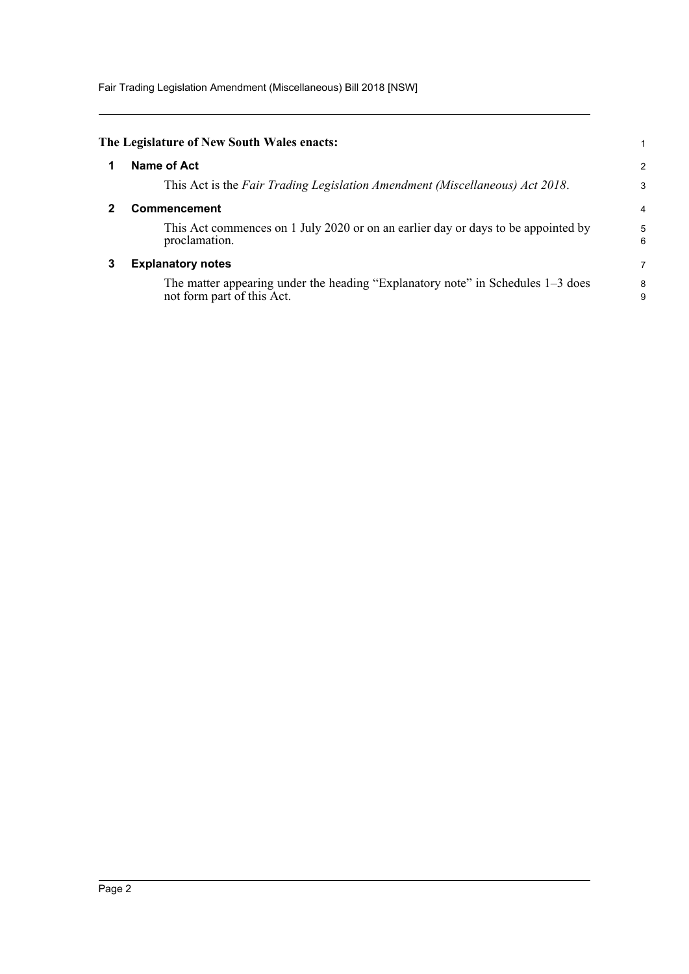Fair Trading Legislation Amendment (Miscellaneous) Bill 2018 [NSW]

<span id="page-4-2"></span><span id="page-4-1"></span><span id="page-4-0"></span>

| The Legislature of New South Wales enacts:                                                                      |                |
|-----------------------------------------------------------------------------------------------------------------|----------------|
| Name of Act                                                                                                     | $\overline{2}$ |
| This Act is the Fair Trading Legislation Amendment (Miscellaneous) Act 2018.                                    | 3              |
| <b>Commencement</b>                                                                                             | 4              |
| This Act commences on 1 July 2020 or on an earlier day or days to be appointed by<br>proclamation.              | 5<br>6         |
| <b>Explanatory notes</b>                                                                                        | 7              |
| The matter appearing under the heading "Explanatory note" in Schedules $1-3$ does<br>not form part of this Act. | 8<br>9         |
|                                                                                                                 |                |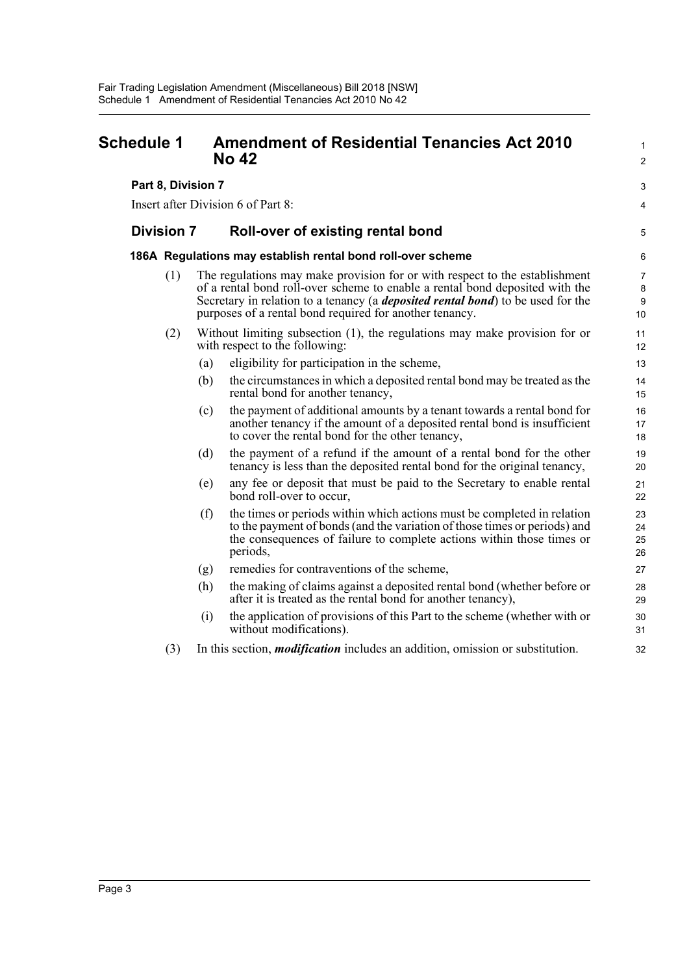### <span id="page-5-0"></span>**Schedule 1 Amendment of Residential Tenancies Act 2010 No 42** 2

**Part 8, Division 7** 3

Insert after Division 6 of Part 8: 4

#### **Division 7 Roll-over of existing rental bond** <sup>5</sup>

#### **186A Regulations may establish rental bond roll-over scheme** 6

- (1) The regulations may make provision for or with respect to the establishment 7 of a rental bond roll-over scheme to enable a rental bond deposited with the 8 Secretary in relation to a tenancy (a *deposited rental bond*) to be used for the 9 purposes of a rental bond required for another tenancy. 10
- (2) Without limiting subsection (1), the regulations may make provision for or 11 with respect to the following: 12
	- (a) eligibility for participation in the scheme,  $\frac{13}{2}$
	- (b) the circumstances in which a deposited rental bond may be treated as the 14 rental bond for another tenancy, 15
	- (c) the payment of additional amounts by a tenant towards a rental bond for 16 another tenancy if the amount of a deposited rental bond is insufficient 17 to cover the rental bond for the other tenancy, 18
	- (d) the payment of a refund if the amount of a rental bond for the other 19 tenancy is less than the deposited rental bond for the original tenancy, 20
	- (e) any fee or deposit that must be paid to the Secretary to enable rental 21 bond roll-over to occur, 22
	- (f) the times or periods within which actions must be completed in relation 23 to the payment of bonds (and the variation of those times or periods) and 24 the consequences of failure to complete actions within those times or 25 periods, 26
	- (g) remedies for contraventions of the scheme, 27
	- (h) the making of claims against a deposited rental bond (whether before or 28 after it is treated as the rental bond for another tenancy), 29
	- (i) the application of provisions of this Part to the scheme (whether with or 30 without modifications). 31
- (3) In this section, *modification* includes an addition, omission or substitution. 32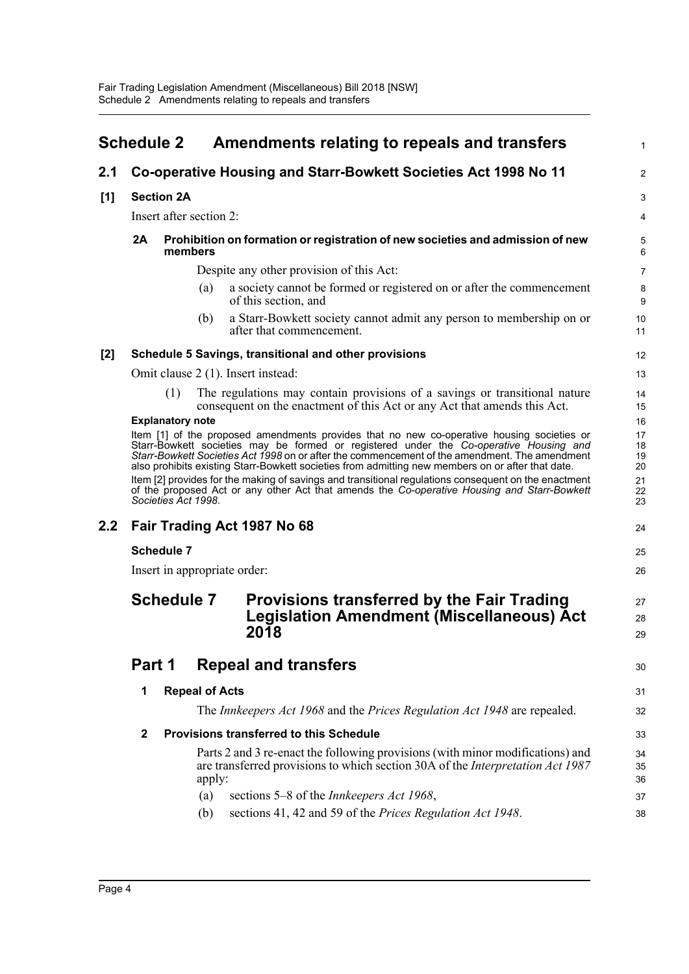<span id="page-6-0"></span>

|       | <b>Schedule 2</b> |                         |                       | Amendments relating to repeals and transfers                                                                                                                                                                                                                                                                                                                                                                                                                                                                                                                                                      |                                        |  |
|-------|-------------------|-------------------------|-----------------------|---------------------------------------------------------------------------------------------------------------------------------------------------------------------------------------------------------------------------------------------------------------------------------------------------------------------------------------------------------------------------------------------------------------------------------------------------------------------------------------------------------------------------------------------------------------------------------------------------|----------------------------------------|--|
| 2.1   |                   |                         |                       | Co-operative Housing and Starr-Bowkett Societies Act 1998 No 11                                                                                                                                                                                                                                                                                                                                                                                                                                                                                                                                   | 2                                      |  |
| [1]   |                   | <b>Section 2A</b>       |                       |                                                                                                                                                                                                                                                                                                                                                                                                                                                                                                                                                                                                   | З                                      |  |
|       |                   | Insert after section 2: |                       |                                                                                                                                                                                                                                                                                                                                                                                                                                                                                                                                                                                                   | 4                                      |  |
|       | 2A                | members                 |                       | Prohibition on formation or registration of new societies and admission of new                                                                                                                                                                                                                                                                                                                                                                                                                                                                                                                    |                                        |  |
|       |                   |                         |                       | Despite any other provision of this Act:                                                                                                                                                                                                                                                                                                                                                                                                                                                                                                                                                          | 7                                      |  |
|       |                   |                         | (a)                   | a society cannot be formed or registered on or after the commencement<br>of this section, and                                                                                                                                                                                                                                                                                                                                                                                                                                                                                                     | ε<br>ς                                 |  |
|       |                   |                         | (b)                   | a Starr-Bowkett society cannot admit any person to membership on or<br>after that commencement.                                                                                                                                                                                                                                                                                                                                                                                                                                                                                                   | 1 <sub>C</sub><br>11                   |  |
| $[2]$ |                   |                         |                       | Schedule 5 Savings, transitional and other provisions                                                                                                                                                                                                                                                                                                                                                                                                                                                                                                                                             | 12                                     |  |
|       |                   |                         |                       | Omit clause 2 (1). Insert instead:                                                                                                                                                                                                                                                                                                                                                                                                                                                                                                                                                                | 13                                     |  |
|       |                   | (1)                     |                       | The regulations may contain provisions of a savings or transitional nature<br>consequent on the enactment of this Act or any Act that amends this Act.                                                                                                                                                                                                                                                                                                                                                                                                                                            | 14<br>15                               |  |
|       |                   | Societies Act 1998.     |                       | Item [1] of the proposed amendments provides that no new co-operative housing societies or<br>Starr-Bowkett societies may be formed or registered under the Co-operative Housing and<br>Starr-Bowkett Societies Act 1998 on or after the commencement of the amendment. The amendment<br>also prohibits existing Starr-Bowkett societies from admitting new members on or after that date.<br>Item [2] provides for the making of savings and transitional regulations consequent on the enactment<br>of the proposed Act or any other Act that amends the Co-operative Housing and Starr-Bowkett | 17<br>18<br>19<br>20<br>21<br>22<br>23 |  |
| 2.2   |                   |                         |                       | Fair Trading Act 1987 No 68                                                                                                                                                                                                                                                                                                                                                                                                                                                                                                                                                                       | 24                                     |  |
|       |                   | <b>Schedule 7</b>       |                       |                                                                                                                                                                                                                                                                                                                                                                                                                                                                                                                                                                                                   | 25                                     |  |
|       |                   |                         |                       | Insert in appropriate order:                                                                                                                                                                                                                                                                                                                                                                                                                                                                                                                                                                      | 26                                     |  |
|       |                   | <b>Schedule 7</b>       |                       | Provisions transferred by the Fair Trading<br><b>Legislation Amendment (Miscellaneous) Act</b><br>2018                                                                                                                                                                                                                                                                                                                                                                                                                                                                                            | 27<br>28<br>29                         |  |
|       | Part 1            |                         |                       | <b>Repeal and transfers</b>                                                                                                                                                                                                                                                                                                                                                                                                                                                                                                                                                                       | 30                                     |  |
|       | 1                 |                         | <b>Repeal of Acts</b> |                                                                                                                                                                                                                                                                                                                                                                                                                                                                                                                                                                                                   | 31                                     |  |
|       |                   |                         |                       | The Innkeepers Act 1968 and the Prices Regulation Act 1948 are repealed.                                                                                                                                                                                                                                                                                                                                                                                                                                                                                                                          | 32                                     |  |
|       | $\mathbf{2}$      |                         |                       | <b>Provisions transferred to this Schedule</b>                                                                                                                                                                                                                                                                                                                                                                                                                                                                                                                                                    | 33                                     |  |
|       |                   |                         | apply:                | Parts 2 and 3 re-enact the following provisions (with minor modifications) and<br>are transferred provisions to which section 30A of the Interpretation Act 1987                                                                                                                                                                                                                                                                                                                                                                                                                                  | 34<br>35<br>36                         |  |
|       |                   |                         | (a)                   | sections 5–8 of the <i>Innkeepers Act 1968</i> ,                                                                                                                                                                                                                                                                                                                                                                                                                                                                                                                                                  | 37                                     |  |
|       |                   |                         | (b)                   | sections 41, 42 and 59 of the Prices Regulation Act 1948.                                                                                                                                                                                                                                                                                                                                                                                                                                                                                                                                         | 38                                     |  |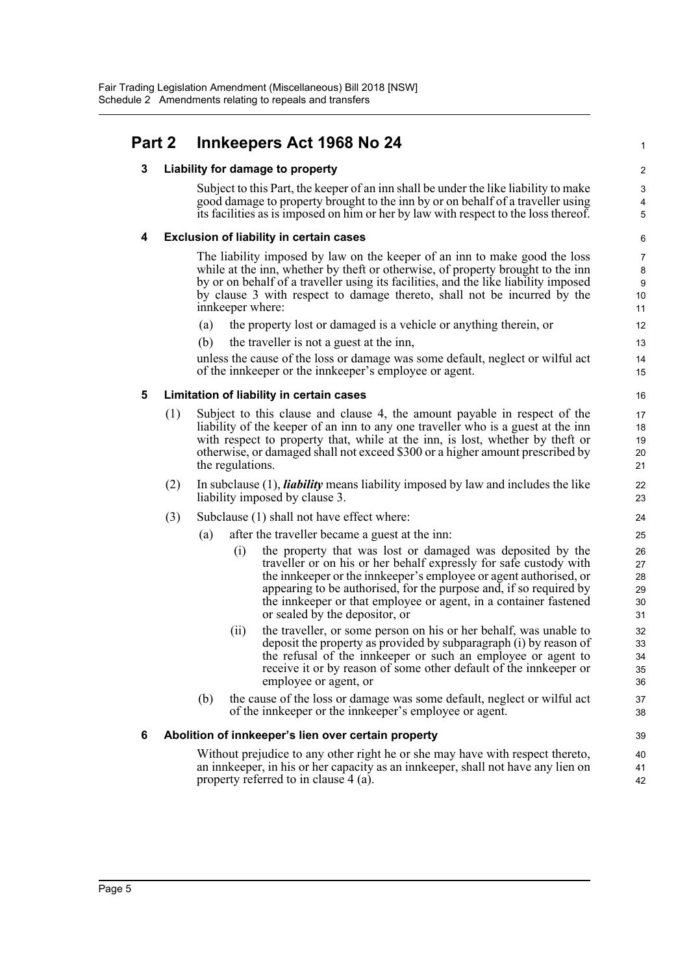### **Part 2 Innkeepers Act 1968 No 24** <sup>1</sup>

#### **3 Liability for damage to property** 2

Subject to this Part, the keeper of an inn shall be under the like liability to make  $\frac{3}{2}$ good damage to property brought to the inn by or on behalf of a traveller using 4 its facilities as is imposed on him or her by law with respect to the loss thereof. 5

#### **4 Exclusion of liability in certain cases** 6

The liability imposed by law on the keeper of an inn to make good the loss  $\frac{7}{2}$ while at the inn, whether by theft or otherwise, of property brought to the inn 8 by or on behalf of a traveller using its facilities, and the like liability imposed 9 by clause 3 with respect to damage thereto, shall not be incurred by the 10 innkeeper where: 11

- (a) the property lost or damaged is a vehicle or anything therein, or 12
- (b) the traveller is not a guest at the inn, 13

unless the cause of the loss or damage was some default, neglect or wilful act 14 of the innkeeper or the innkeeper's employee or agent. 15

#### **5 Limitation of liability in certain cases** 16

- (1) Subject to this clause and clause 4, the amount payable in respect of the 17 liability of the keeper of an inn to any one traveller who is a guest at the inn 18 with respect to property that, while at the inn, is lost, whether by theft or 19 otherwise, or damaged shall not exceed \$300 or a higher amount prescribed by 20 the regulations. 21
- (2) In subclause (1), *liability* means liability imposed by law and includes the like 22 liability imposed by clause 3. 23
- (3) Subclause (1) shall not have effect where: 24
	- (a) after the traveller became a guest at the inn: 25
		- (i) the property that was lost or damaged was deposited by the 26 traveller or on his or her behalf expressly for safe custody with 27 the innkeeper or the innkeeper's employee or agent authorised, or 28 appearing to be authorised, for the purpose and, if so required by 29 the innkeeper or that employee or agent, in a container fastened 30 or sealed by the depositor, or 31
		- (ii) the traveller, or some person on his or her behalf, was unable to 32 deposit the property as provided by subparagraph (i) by reason of 33 the refusal of the innkeeper or such an employee or agent to 34 receive it or by reason of some other default of the innkeeper or 35 employee or agent, or 36
	- (b) the cause of the loss or damage was some default, neglect or wilful act 37 of the innkeeper or the innkeeper's employee or agent. 38

#### **6 Abolition of innkeeper's lien over certain property** 39

Without prejudice to any other right he or she may have with respect thereto,  $\frac{40}{40}$ an innkeeper, in his or her capacity as an innkeeper, shall not have any lien on 41 property referred to in clause 4 (a). 42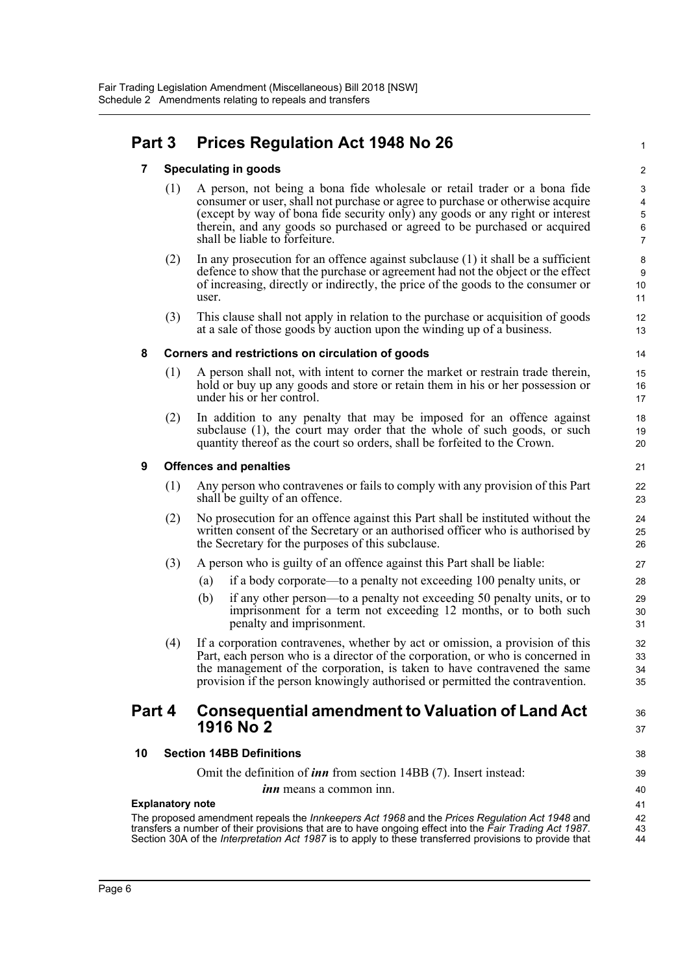## **Part 3 Prices Regulation Act 1948 No 26** <sup>1</sup>

#### **7 Speculating in goods** 2

- (1) A person, not being a bona fide wholesale or retail trader or a bona fide 3 consumer or user, shall not purchase or agree to purchase or otherwise acquire 4 (except by way of bona fide security only) any goods or any right or interest 5 therein, and any goods so purchased or agreed to be purchased or acquired 6 shall be liable to forfeiture. The same state of  $\frac{7}{2}$
- (2) In any prosecution for an offence against subclause (1) it shall be a sufficient  $\frac{8}{3}$ defence to show that the purchase or agreement had not the object or the effect 9 of increasing, directly or indirectly, the price of the goods to the consumer or 10 user.
- (3) This clause shall not apply in relation to the purchase or acquisition of goods 12 at a sale of those goods by auction upon the winding up of a business. 13

#### **8 Corners and restrictions on circulation of goods** 14

- (1) A person shall not, with intent to corner the market or restrain trade therein, 15 hold or buy up any goods and store or retain them in his or her possession or 16 under his or her control. 17
- (2) In addition to any penalty that may be imposed for an offence against 18 subclause  $(1)$ , the court may order that the whole of such goods, or such  $19$ quantity thereof as the court so orders, shall be forfeited to the Crown. 20

#### **9 Offences and penalties** 21

- (1) Any person who contravenes or fails to comply with any provision of this Part 22 shall be guilty of an offence. 23
- (2) No prosecution for an offence against this Part shall be instituted without the 24 written consent of the Secretary or an authorised officer who is authorised by 25 the Secretary for the purposes of this subclause. 26
- (3) A person who is guilty of an offence against this Part shall be liable: 27
	- (a) if a body corporate—to a penalty not exceeding 100 penalty units, or 28
	- (b) if any other person—to a penalty not exceeding 50 penalty units, or to 29 imprisonment for a term not exceeding 12 months, or to both such 30 penalty and imprisonment. 31
- (4) If a corporation contravenes, whether by act or omission, a provision of this 32 Part, each person who is a director of the corporation, or who is concerned in 33 the management of the corporation, is taken to have contravened the same 34 provision if the person knowingly authorised or permitted the contravention. 35

### **Part 4 Consequential amendment to Valuation of Land Act**  $36$ **1916 No 2** 37

#### **10 Section 14BB Definitions** 38

Omit the definition of *inn* from section 14BB (7). Insert instead: 39

*inn* means a common inn. 40

#### **Explanatory note** 41

The proposed amendment repeals the *Innkeepers Act 1968* and the *Prices Regulation Act 1948* and 42 transfers a number of their provisions that are to have ongoing effect into the Fair Trading Act 1987. Section 30A of the *Interpretation Act 1987* is to apply to these transferred provisions to provide that 44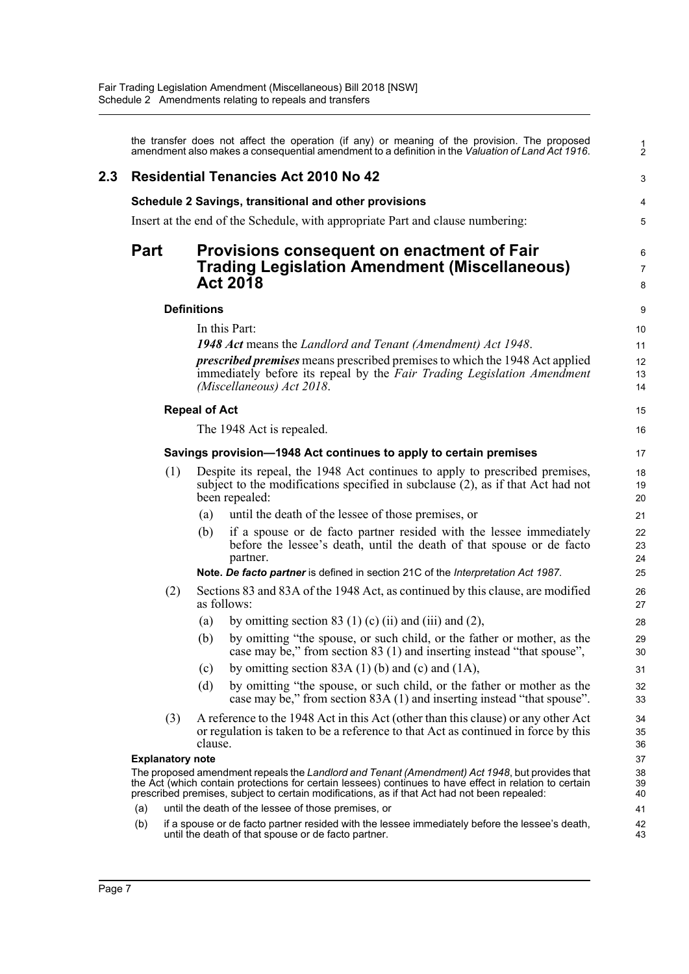|             |                         |                      | the transfer does not affect the operation (if any) or meaning of the provision. The proposed<br>amendment also makes a consequential amendment to a definition in the Valuation of Land Act 1916.                                                                                                        | $\frac{1}{2}$              |
|-------------|-------------------------|----------------------|-----------------------------------------------------------------------------------------------------------------------------------------------------------------------------------------------------------------------------------------------------------------------------------------------------------|----------------------------|
| 2.3         |                         |                      | <b>Residential Tenancies Act 2010 No 42</b>                                                                                                                                                                                                                                                               | З                          |
|             |                         |                      | Schedule 2 Savings, transitional and other provisions                                                                                                                                                                                                                                                     |                            |
|             |                         |                      | Insert at the end of the Schedule, with appropriate Part and clause numbering:                                                                                                                                                                                                                            |                            |
| <b>Part</b> |                         |                      | Provisions consequent on enactment of Fair<br><b>Trading Legislation Amendment (Miscellaneous)</b><br><b>Act 2018</b>                                                                                                                                                                                     | Е<br>7<br>ε                |
|             |                         | <b>Definitions</b>   |                                                                                                                                                                                                                                                                                                           | ς                          |
|             |                         |                      | In this Part:                                                                                                                                                                                                                                                                                             | 10                         |
|             |                         |                      | 1948 Act means the Landlord and Tenant (Amendment) Act 1948.                                                                                                                                                                                                                                              | 11                         |
|             |                         |                      | prescribed premises means prescribed premises to which the 1948 Act applied<br>immediately before its repeal by the Fair Trading Legislation Amendment<br>(Miscellaneous) Act 2018.                                                                                                                       | 12<br>13<br>14             |
|             |                         | <b>Repeal of Act</b> |                                                                                                                                                                                                                                                                                                           | 15                         |
|             |                         |                      | The 1948 Act is repealed.                                                                                                                                                                                                                                                                                 | 16                         |
|             |                         |                      | Savings provision-1948 Act continues to apply to certain premises                                                                                                                                                                                                                                         | 17                         |
|             | (1)                     |                      | Despite its repeal, the 1948 Act continues to apply to prescribed premises,<br>subject to the modifications specified in subclause (2), as if that Act had not<br>been repealed:                                                                                                                          | 18<br>1 <sup>c</sup><br>20 |
|             |                         | (a)                  | until the death of the lessee of those premises, or                                                                                                                                                                                                                                                       | 21                         |
|             |                         | (b)                  | if a spouse or de facto partner resided with the lessee immediately<br>before the lessee's death, until the death of that spouse or de facto<br>partner.                                                                                                                                                  | 22<br>23<br>24             |
|             |                         |                      | Note. De facto partner is defined in section 21C of the Interpretation Act 1987.                                                                                                                                                                                                                          | 25                         |
|             | (2)                     |                      | Sections 83 and 83A of the 1948 Act, as continued by this clause, are modified<br>as follows:                                                                                                                                                                                                             | 26<br>27                   |
|             |                         | $\left( a\right)$    | by omitting section 83 (1) (c) (ii) and (iii) and (2),                                                                                                                                                                                                                                                    | 28                         |
|             |                         | (b)                  | by omitting "the spouse, or such child, or the father or mother, as the<br>case may be," from section 83 (1) and inserting instead "that spouse",                                                                                                                                                         | 29<br>3 <sub>C</sub>       |
|             |                         | (c)                  | by omitting section $83A(1)$ (b) and (c) and $(1A)$ ,                                                                                                                                                                                                                                                     | 31                         |
|             |                         | (d)                  | by omitting "the spouse, or such child, or the father or mother as the<br>case may be," from section 83A (1) and inserting instead "that spouse".                                                                                                                                                         | 32<br>33                   |
|             | (3)                     | clause.              | A reference to the 1948 Act in this Act (other than this clause) or any other Act<br>or regulation is taken to be a reference to that Act as continued in force by this                                                                                                                                   | 34<br>35<br>36             |
|             | <b>Explanatory note</b> |                      |                                                                                                                                                                                                                                                                                                           | 37                         |
|             |                         |                      | The proposed amendment repeals the Landlord and Tenant (Amendment) Act 1948, but provides that<br>the Act (which contain protections for certain lessees) continues to have effect in relation to certain<br>prescribed premises, subject to certain modifications, as if that Act had not been repealed: | 38<br>39<br>40             |
| (a)         |                         |                      | until the death of the lessee of those premises, or                                                                                                                                                                                                                                                       | 41                         |
| (b)         |                         |                      | if a spouse or de facto partner resided with the lessee immediately before the lessee's death,<br>until the death of that spouse or de facto partner.                                                                                                                                                     | 42<br>43                   |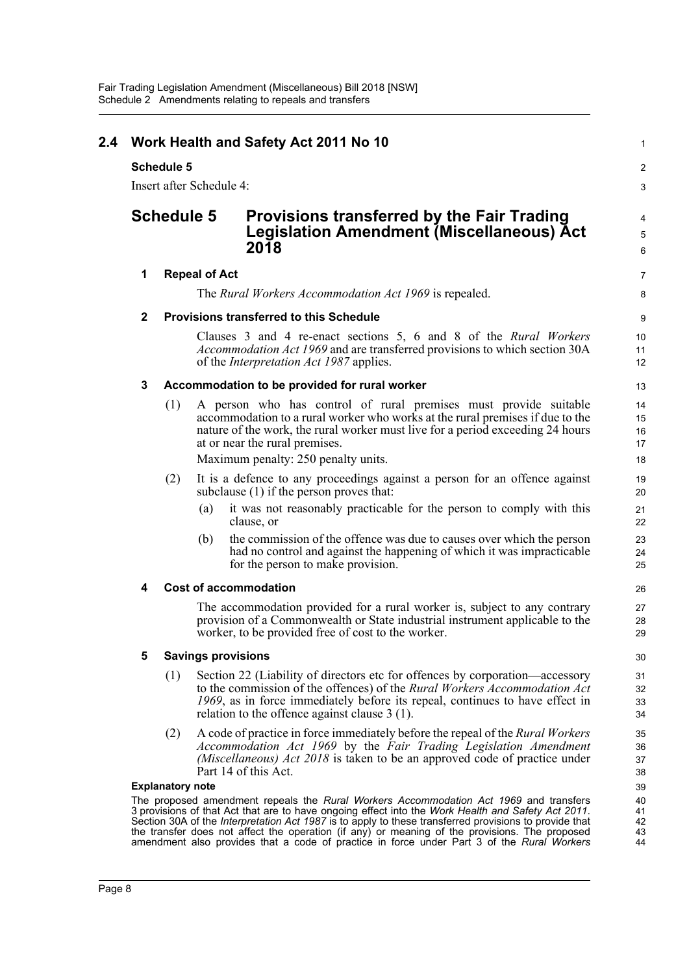|             | Insert after Schedule 4: |                           |                                                                                                                                                                                                                                                                                                                                                                                                                                                                                                              |  |  |  |  |
|-------------|--------------------------|---------------------------|--------------------------------------------------------------------------------------------------------------------------------------------------------------------------------------------------------------------------------------------------------------------------------------------------------------------------------------------------------------------------------------------------------------------------------------------------------------------------------------------------------------|--|--|--|--|
|             | <b>Schedule 5</b>        |                           | <b>Provisions transferred by the Fair Trading</b><br><b>Legislation Amendment (Miscellaneous) Act</b><br>2018                                                                                                                                                                                                                                                                                                                                                                                                |  |  |  |  |
| 1           |                          | <b>Repeal of Act</b>      |                                                                                                                                                                                                                                                                                                                                                                                                                                                                                                              |  |  |  |  |
|             |                          |                           | The Rural Workers Accommodation Act 1969 is repealed.                                                                                                                                                                                                                                                                                                                                                                                                                                                        |  |  |  |  |
| $\mathbf 2$ |                          |                           | <b>Provisions transferred to this Schedule</b>                                                                                                                                                                                                                                                                                                                                                                                                                                                               |  |  |  |  |
|             |                          |                           | Clauses 3 and 4 re-enact sections 5, 6 and 8 of the Rural Workers<br>Accommodation Act 1969 and are transferred provisions to which section 30A<br>of the <i>Interpretation Act 1987</i> applies.                                                                                                                                                                                                                                                                                                            |  |  |  |  |
| 3           |                          |                           | Accommodation to be provided for rural worker                                                                                                                                                                                                                                                                                                                                                                                                                                                                |  |  |  |  |
|             | (1)                      |                           | A person who has control of rural premises must provide suitable<br>accommodation to a rural worker who works at the rural premises if due to the<br>nature of the work, the rural worker must live for a period exceeding 24 hours<br>at or near the rural premises.<br>Maximum penalty: 250 penalty units.                                                                                                                                                                                                 |  |  |  |  |
|             | (2)                      |                           | It is a defence to any proceedings against a person for an offence against<br>subclause (1) if the person proves that:                                                                                                                                                                                                                                                                                                                                                                                       |  |  |  |  |
|             |                          | (a)                       | it was not reasonably practicable for the person to comply with this<br>clause, or                                                                                                                                                                                                                                                                                                                                                                                                                           |  |  |  |  |
|             |                          | (b)                       | the commission of the offence was due to causes over which the person<br>had no control and against the happening of which it was impracticable<br>for the person to make provision.                                                                                                                                                                                                                                                                                                                         |  |  |  |  |
| 4           |                          |                           | <b>Cost of accommodation</b>                                                                                                                                                                                                                                                                                                                                                                                                                                                                                 |  |  |  |  |
|             |                          |                           | The accommodation provided for a rural worker is, subject to any contrary<br>provision of a Commonwealth or State industrial instrument applicable to the<br>worker, to be provided free of cost to the worker.                                                                                                                                                                                                                                                                                              |  |  |  |  |
| 5           |                          | <b>Savings provisions</b> |                                                                                                                                                                                                                                                                                                                                                                                                                                                                                                              |  |  |  |  |
|             | (1)                      |                           | Section 22 (Liability of directors etc for offences by corporation—accessory<br>to the commission of the offences) of the Rural Workers Accommodation Act<br>1969, as in force immediately before its repeal, continues to have effect in<br>relation to the offence against clause $3(1)$ .                                                                                                                                                                                                                 |  |  |  |  |
|             | (2)                      |                           | A code of practice in force immediately before the repeal of the Rural Workers<br>Accommodation Act 1969 by the Fair Trading Legislation Amendment<br>(Miscellaneous) Act 2018 is taken to be an approved code of practice under<br>Part 14 of this Act.                                                                                                                                                                                                                                                     |  |  |  |  |
|             | <b>Explanatory note</b>  |                           |                                                                                                                                                                                                                                                                                                                                                                                                                                                                                                              |  |  |  |  |
|             |                          |                           | The proposed amendment repeals the Rural Workers Accommodation Act 1969 and transfers<br>3 provisions of that Act that are to have ongoing effect into the Work Health and Safety Act 2011.<br>Section 30A of the <i>Interpretation Act 1987</i> is to apply to these transferred provisions to provide that<br>the transfer does not affect the operation (if any) or meaning of the provisions. The proposed<br>amendment also provides that a code of practice in force under Part 3 of the Rural Workers |  |  |  |  |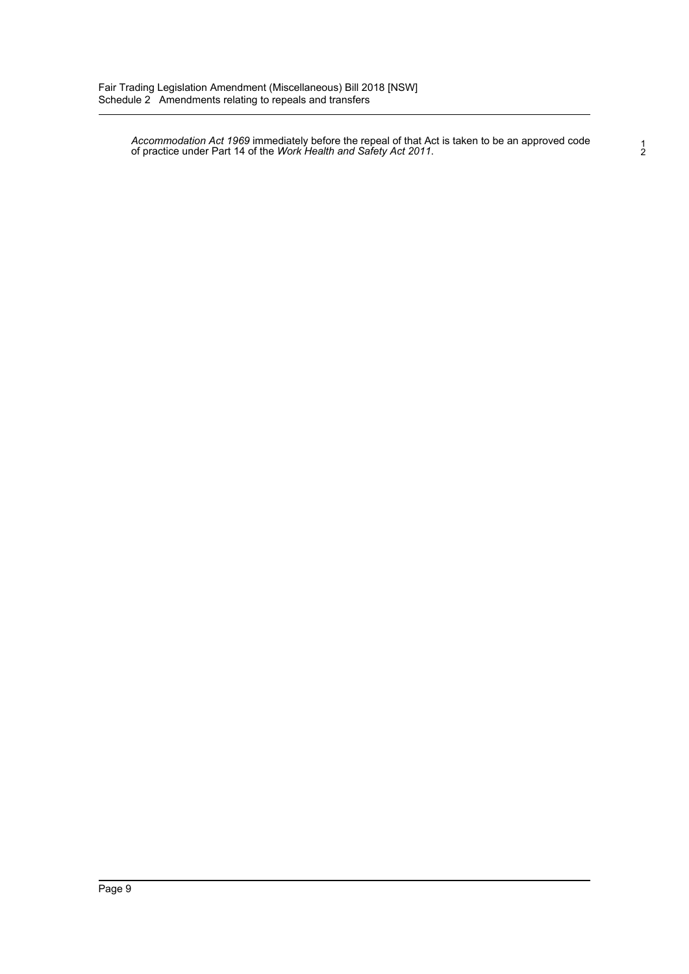*Accommodation Act 1969* immediately before the repeal of that Act is taken to be an approved code 1 of practice under Part 14 of the *Work Health and Safety Act 2011*. 2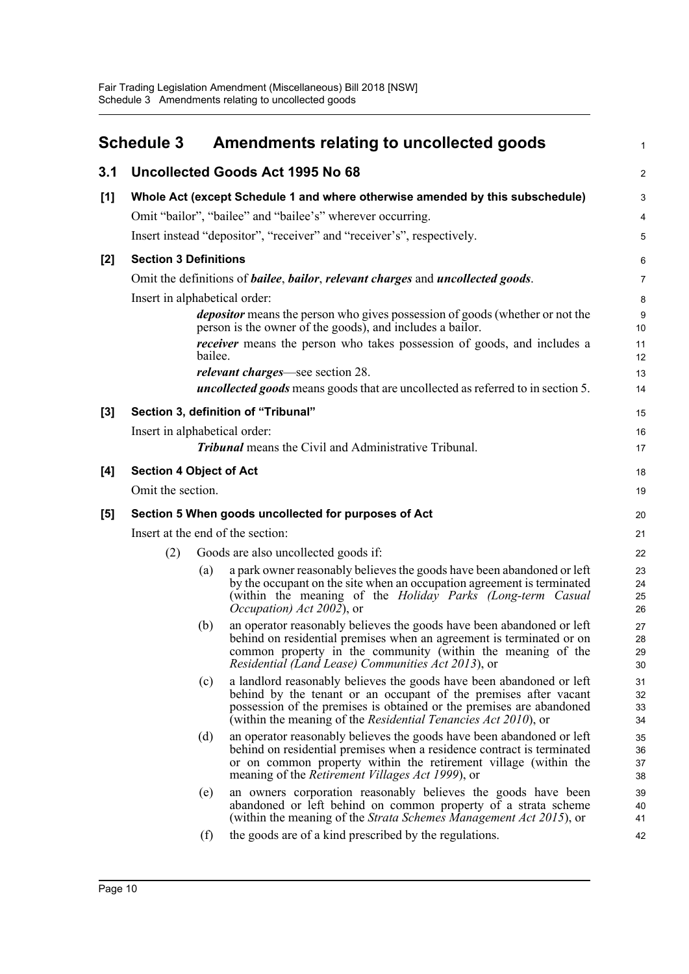<span id="page-12-0"></span>

|       | <b>Schedule 3</b>              |                                                                               | Amendments relating to uncollected goods                                                                                                                                                                                                                                                   | 1                    |  |  |  |  |
|-------|--------------------------------|-------------------------------------------------------------------------------|--------------------------------------------------------------------------------------------------------------------------------------------------------------------------------------------------------------------------------------------------------------------------------------------|----------------------|--|--|--|--|
| 3.1   |                                |                                                                               | Uncollected Goods Act 1995 No 68                                                                                                                                                                                                                                                           | $\overline{a}$       |  |  |  |  |
| [1]   |                                | Whole Act (except Schedule 1 and where otherwise amended by this subschedule) |                                                                                                                                                                                                                                                                                            |                      |  |  |  |  |
|       |                                |                                                                               | Omit "bailor", "bailee" and "bailee's" wherever occurring.                                                                                                                                                                                                                                 | 4                    |  |  |  |  |
|       |                                |                                                                               | Insert instead "depositor", "receiver" and "receiver's", respectively.                                                                                                                                                                                                                     | 5                    |  |  |  |  |
| $[2]$ | <b>Section 3 Definitions</b>   |                                                                               |                                                                                                                                                                                                                                                                                            | 6                    |  |  |  |  |
|       |                                |                                                                               | Omit the definitions of <i>bailee</i> , <i>bailor</i> , <i>relevant charges</i> and <i>uncollected goods</i> .                                                                                                                                                                             | 7                    |  |  |  |  |
|       | Insert in alphabetical order:  |                                                                               |                                                                                                                                                                                                                                                                                            | 8                    |  |  |  |  |
|       |                                |                                                                               | <i>depositor</i> means the person who gives possession of goods (whether or not the<br>person is the owner of the goods), and includes a bailor.                                                                                                                                           | g<br>10              |  |  |  |  |
|       |                                | bailee.                                                                       | <i>receiver</i> means the person who takes possession of goods, and includes a                                                                                                                                                                                                             | 11<br>12             |  |  |  |  |
|       |                                |                                                                               | <i>relevant charges</i> —see section 28.                                                                                                                                                                                                                                                   | 13                   |  |  |  |  |
|       |                                |                                                                               | <b>uncollected goods</b> means goods that are uncollected as referred to in section 5.                                                                                                                                                                                                     | 14                   |  |  |  |  |
| $[3]$ |                                |                                                                               | Section 3, definition of "Tribunal"                                                                                                                                                                                                                                                        | 15                   |  |  |  |  |
|       | Insert in alphabetical order:  |                                                                               |                                                                                                                                                                                                                                                                                            | 16                   |  |  |  |  |
|       |                                |                                                                               | <b>Tribunal</b> means the Civil and Administrative Tribunal.                                                                                                                                                                                                                               | 17                   |  |  |  |  |
| [4]   | <b>Section 4 Object of Act</b> |                                                                               |                                                                                                                                                                                                                                                                                            | 18                   |  |  |  |  |
|       | Omit the section.              |                                                                               |                                                                                                                                                                                                                                                                                            | 19                   |  |  |  |  |
| [5]   |                                |                                                                               | Section 5 When goods uncollected for purposes of Act                                                                                                                                                                                                                                       | 20                   |  |  |  |  |
|       |                                |                                                                               | Insert at the end of the section:                                                                                                                                                                                                                                                          | 21                   |  |  |  |  |
|       | (2)                            |                                                                               | Goods are also uncollected goods if:                                                                                                                                                                                                                                                       | 22                   |  |  |  |  |
|       |                                | (a)                                                                           | a park owner reasonably believes the goods have been abandoned or left<br>by the occupant on the site when an occupation agreement is terminated<br>(within the meaning of the Holiday Parks (Long-term Casual<br><i>Occupation</i> ) <i>Act 2002</i> ), or                                | 23<br>24<br>25<br>26 |  |  |  |  |
|       |                                | (b)                                                                           | an operator reasonably believes the goods have been abandoned or left<br>behind on residential premises when an agreement is terminated or on<br>common property in the community (within the meaning of the<br><i>Residential (Land Lease) Communities Act 2013)</i> , or                 | 27<br>28<br>29<br>30 |  |  |  |  |
|       |                                | (c)                                                                           | a landlord reasonably believes the goods have been abandoned or left<br>behind by the tenant or an occupant of the premises after vacant<br>possession of the premises is obtained or the premises are abandoned<br>(within the meaning of the <i>Residential Tenancies Act 2010</i> ), or | 31<br>32<br>33<br>34 |  |  |  |  |
|       |                                | (d)                                                                           | an operator reasonably believes the goods have been abandoned or left<br>behind on residential premises when a residence contract is terminated<br>or on common property within the retirement village (within the<br>meaning of the <i>Retirement Villages Act 1999</i> ), or             | 35<br>36<br>37<br>38 |  |  |  |  |
|       |                                | (e)                                                                           | an owners corporation reasonably believes the goods have been<br>abandoned or left behind on common property of a strata scheme<br>(within the meaning of the Strata Schemes Management Act 2015), or                                                                                      | 39<br>40<br>41       |  |  |  |  |
|       |                                | (f)                                                                           | the goods are of a kind prescribed by the regulations.                                                                                                                                                                                                                                     | 42                   |  |  |  |  |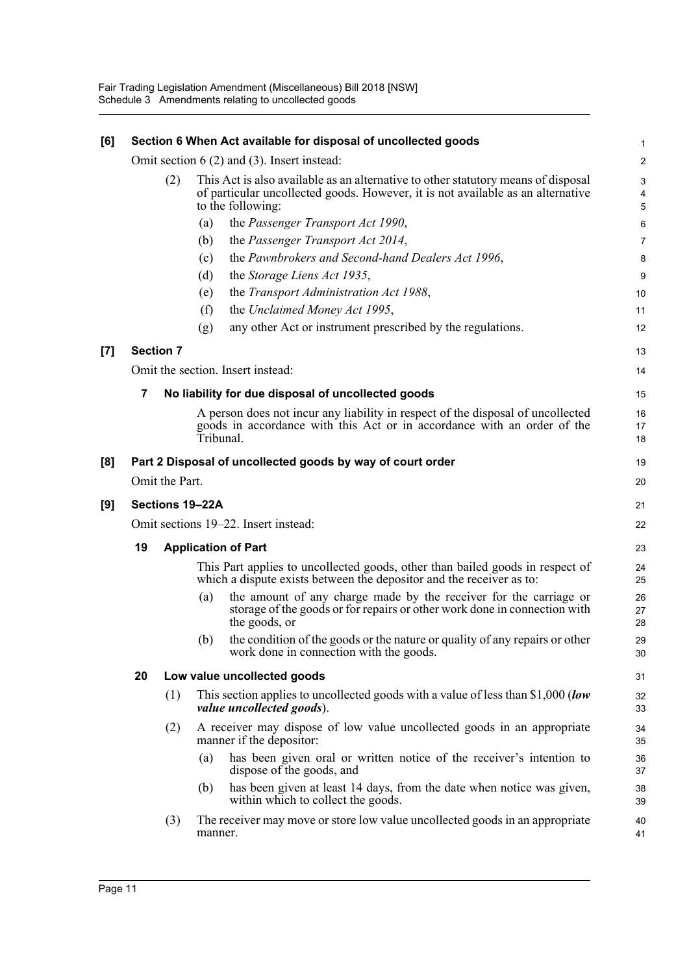| [6]   |                 |                                      |                                                                                                                                                                                           | Section 6 When Act available for disposal of uncollected goods                                                                                                          |                |  |  |
|-------|-----------------|--------------------------------------|-------------------------------------------------------------------------------------------------------------------------------------------------------------------------------------------|-------------------------------------------------------------------------------------------------------------------------------------------------------------------------|----------------|--|--|
|       |                 |                                      |                                                                                                                                                                                           | Omit section $6(2)$ and $(3)$ . Insert instead:                                                                                                                         | 2              |  |  |
|       |                 | (2)                                  | This Act is also available as an alternative to other statutory means of disposal<br>of particular uncollected goods. However, it is not available as an alternative<br>to the following: |                                                                                                                                                                         |                |  |  |
|       |                 |                                      | (a)                                                                                                                                                                                       | the Passenger Transport Act 1990,                                                                                                                                       | Е              |  |  |
|       |                 |                                      | (b)                                                                                                                                                                                       | the Passenger Transport Act 2014,                                                                                                                                       |                |  |  |
|       |                 |                                      | (c)                                                                                                                                                                                       | the Pawnbrokers and Second-hand Dealers Act 1996,                                                                                                                       |                |  |  |
|       |                 |                                      | (d)                                                                                                                                                                                       | the Storage Liens Act 1935,                                                                                                                                             |                |  |  |
|       |                 |                                      | (e)                                                                                                                                                                                       | the Transport Administration Act 1988,                                                                                                                                  | 10             |  |  |
|       |                 |                                      | (f)                                                                                                                                                                                       | the Unclaimed Money Act 1995,                                                                                                                                           | 11             |  |  |
|       |                 |                                      | (g)                                                                                                                                                                                       | any other Act or instrument prescribed by the regulations.                                                                                                              | 12             |  |  |
| $[7]$ |                 | <b>Section 7</b>                     |                                                                                                                                                                                           |                                                                                                                                                                         | 13             |  |  |
|       |                 |                                      |                                                                                                                                                                                           | Omit the section. Insert instead:                                                                                                                                       | 14             |  |  |
|       | 7               |                                      |                                                                                                                                                                                           | No liability for due disposal of uncollected goods                                                                                                                      | 15             |  |  |
|       |                 |                                      |                                                                                                                                                                                           | A person does not incur any liability in respect of the disposal of uncollected<br>goods in accordance with this Act or in accordance with an order of the<br>Tribunal. | 16<br>17<br>18 |  |  |
| [8]   |                 |                                      |                                                                                                                                                                                           | Part 2 Disposal of uncollected goods by way of court order                                                                                                              | 19             |  |  |
|       |                 | Omit the Part.                       |                                                                                                                                                                                           |                                                                                                                                                                         | 20             |  |  |
| [9]   | Sections 19-22A |                                      |                                                                                                                                                                                           |                                                                                                                                                                         |                |  |  |
|       |                 | Omit sections 19–22. Insert instead: |                                                                                                                                                                                           |                                                                                                                                                                         |                |  |  |
|       | 19              | <b>Application of Part</b>           | 23                                                                                                                                                                                        |                                                                                                                                                                         |                |  |  |
|       |                 |                                      |                                                                                                                                                                                           | This Part applies to uncollected goods, other than bailed goods in respect of<br>which a dispute exists between the depositor and the receiver as to:                   | 24<br>25       |  |  |
|       |                 |                                      | (a)                                                                                                                                                                                       | the amount of any charge made by the receiver for the carriage or<br>storage of the goods or for repairs or other work done in connection with<br>the goods, or         | 26<br>27<br>28 |  |  |
|       |                 |                                      | (b)                                                                                                                                                                                       | the condition of the goods or the nature or quality of any repairs or other<br>work done in connection with the goods.                                                  | 29<br>30       |  |  |
|       | 20              |                                      |                                                                                                                                                                                           | Low value uncollected goods                                                                                                                                             | 31             |  |  |
|       |                 | (1)                                  |                                                                                                                                                                                           | This section applies to uncollected goods with a value of less than \$1,000 (low<br>value uncollected goods).                                                           | 32<br>33       |  |  |
|       |                 | (2)                                  |                                                                                                                                                                                           | A receiver may dispose of low value uncollected goods in an appropriate<br>manner if the depositor:                                                                     | 34<br>35       |  |  |
|       |                 |                                      | (a)                                                                                                                                                                                       | has been given oral or written notice of the receiver's intention to<br>dispose of the goods, and                                                                       | 36<br>37       |  |  |
|       |                 |                                      | (b)                                                                                                                                                                                       | has been given at least 14 days, from the date when notice was given,<br>within which to collect the goods.                                                             | 38<br>39       |  |  |
|       |                 | (3)                                  | manner.                                                                                                                                                                                   | The receiver may move or store low value uncollected goods in an appropriate                                                                                            | 40<br>41       |  |  |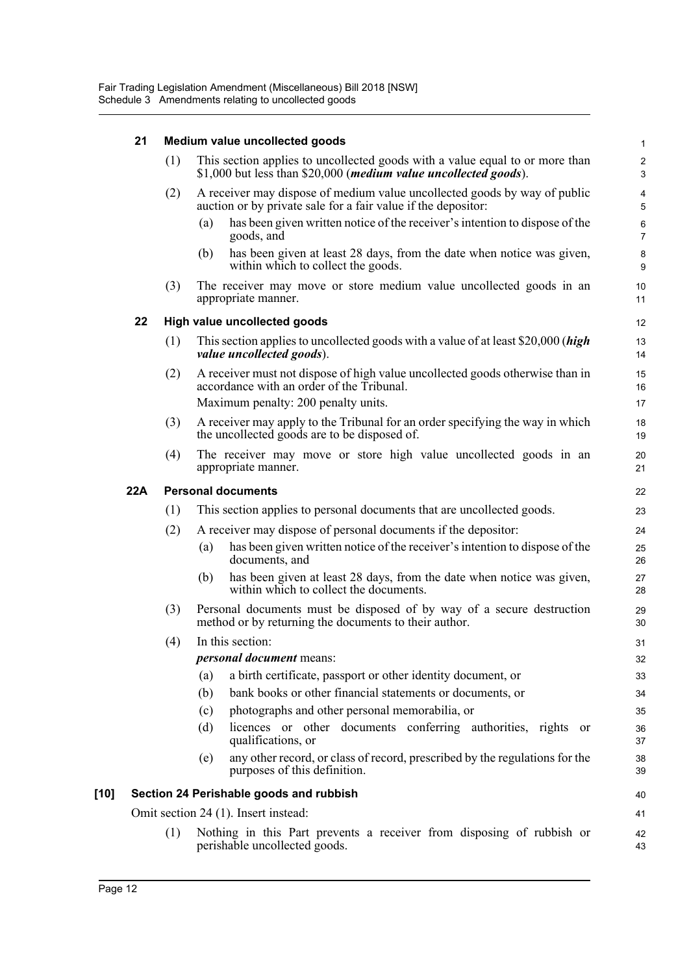|      | 21  | Medium value uncollected goods |                                                                                                                                                           |                      |  |  |  |
|------|-----|--------------------------------|-----------------------------------------------------------------------------------------------------------------------------------------------------------|----------------------|--|--|--|
|      |     | (1)                            | This section applies to uncollected goods with a value equal to or more than<br>\$1,000 but less than \$20,000 ( <i>medium value uncollected goods</i> ). | 2<br>З               |  |  |  |
|      |     | (2)                            | A receiver may dispose of medium value uncollected goods by way of public<br>auction or by private sale for a fair value if the depositor:                | Ę                    |  |  |  |
|      |     |                                | has been given written notice of the receiver's intention to dispose of the<br>(a)<br>goods, and                                                          | $\epsilon$<br>7      |  |  |  |
|      |     |                                | has been given at least 28 days, from the date when notice was given,<br>(b)<br>within which to collect the goods.                                        | ε<br>ς               |  |  |  |
|      |     | (3)                            | The receiver may move or store medium value uncollected goods in an<br>appropriate manner.                                                                | 10<br>11             |  |  |  |
|      | 22  |                                | High value uncollected goods                                                                                                                              | 12                   |  |  |  |
|      |     | (1)                            | This section applies to uncollected goods with a value of at least \$20,000 ( <i>high</i><br>value uncollected goods).                                    | 13<br>14             |  |  |  |
|      |     | (2)                            | A receiver must not dispose of high value uncollected goods otherwise than in<br>accordance with an order of the Tribunal.                                | 15<br>16             |  |  |  |
|      |     |                                | Maximum penalty: 200 penalty units.                                                                                                                       | 17                   |  |  |  |
|      |     | (3)                            | A receiver may apply to the Tribunal for an order specifying the way in which<br>the uncollected goods are to be disposed of.                             | 18<br>1 <sup>c</sup> |  |  |  |
|      |     | (4)                            | The receiver may move or store high value uncollected goods in an<br>appropriate manner.                                                                  | 20<br>21             |  |  |  |
|      | 22A |                                | <b>Personal documents</b>                                                                                                                                 |                      |  |  |  |
|      |     | (1)                            | This section applies to personal documents that are uncollected goods.                                                                                    | 23                   |  |  |  |
|      |     | (2)                            | A receiver may dispose of personal documents if the depositor:                                                                                            | 24                   |  |  |  |
|      |     |                                | has been given written notice of the receiver's intention to dispose of the<br>(a)<br>documents, and                                                      | 25<br>26             |  |  |  |
|      |     |                                | has been given at least 28 days, from the date when notice was given,<br>(b)<br>within which to collect the documents.                                    | 27<br>28             |  |  |  |
|      |     | (3)                            | Personal documents must be disposed of by way of a secure destruction<br>method or by returning the documents to their author.                            | 29<br>3 <sub>C</sub> |  |  |  |
|      |     | (4)                            | In this section:                                                                                                                                          | 31                   |  |  |  |
|      |     |                                | <i>personal document</i> means:                                                                                                                           | 32                   |  |  |  |
|      |     |                                | a birth certificate, passport or other identity document, or<br>(a)                                                                                       | 33                   |  |  |  |
|      |     |                                | bank books or other financial statements or documents, or<br>(b)                                                                                          | 34                   |  |  |  |
|      |     |                                | photographs and other personal memorabilia, or<br>(c)                                                                                                     | 35                   |  |  |  |
|      |     |                                | licences or other documents conferring authorities, rights or<br>(d)<br>qualifications, or                                                                | 36<br>37             |  |  |  |
|      |     |                                | any other record, or class of record, prescribed by the regulations for the<br>(e)<br>purposes of this definition.                                        | 38<br>39             |  |  |  |
| [10] |     |                                | Section 24 Perishable goods and rubbish                                                                                                                   | 40                   |  |  |  |
|      |     |                                | Omit section 24 (1). Insert instead:                                                                                                                      | 41                   |  |  |  |
|      |     | (1)                            | Nothing in this Part prevents a receiver from disposing of rubbish or                                                                                     | 42                   |  |  |  |
|      |     |                                | perishable uncollected goods.                                                                                                                             | 43                   |  |  |  |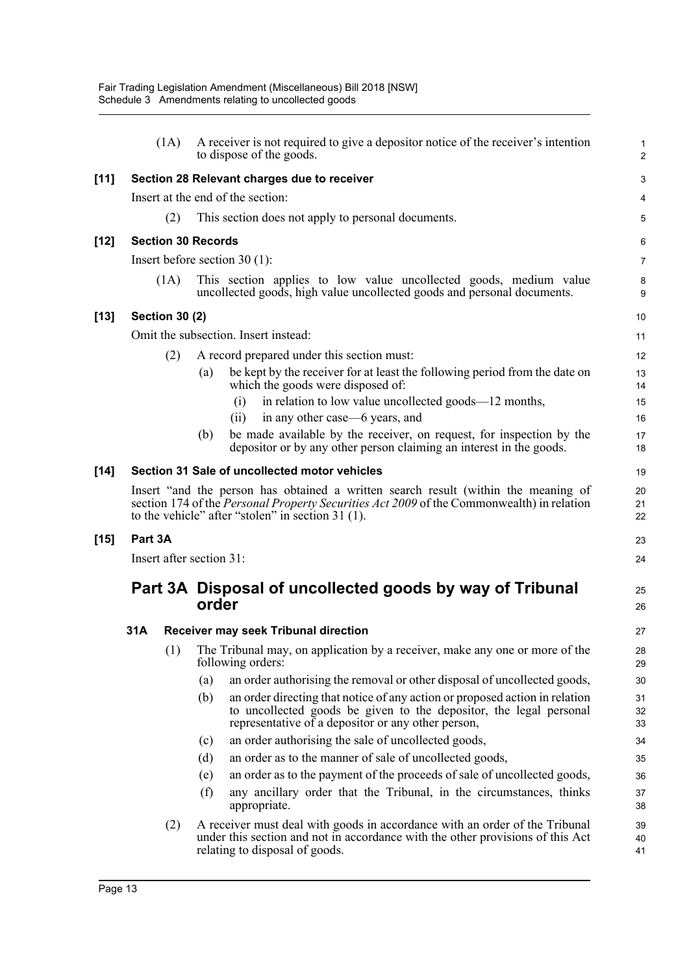|        |         | (1A)                  | A receiver is not required to give a depositor notice of the receiver's intention<br>to dispose of the goods.                                                                                                                        | 1<br>2         |
|--------|---------|-----------------------|--------------------------------------------------------------------------------------------------------------------------------------------------------------------------------------------------------------------------------------|----------------|
| $[11]$ |         |                       | Section 28 Relevant charges due to receiver                                                                                                                                                                                          | З              |
|        |         |                       | Insert at the end of the section:                                                                                                                                                                                                    |                |
|        |         | (2)                   | This section does not apply to personal documents.                                                                                                                                                                                   |                |
| [12]   |         |                       | <b>Section 30 Records</b>                                                                                                                                                                                                            | б              |
|        |         |                       | Insert before section $30(1)$ :                                                                                                                                                                                                      | 7              |
|        |         | (1A)                  | This section applies to low value uncollected goods, medium value<br>uncollected goods, high value uncollected goods and personal documents.                                                                                         | ε<br>ς         |
| [13]   |         | <b>Section 30 (2)</b> |                                                                                                                                                                                                                                      | 10             |
|        |         |                       | Omit the subsection. Insert instead:                                                                                                                                                                                                 | 11             |
|        |         | (2)                   | A record prepared under this section must:                                                                                                                                                                                           | 12             |
|        |         |                       | be kept by the receiver for at least the following period from the date on<br>(a)<br>which the goods were disposed of:                                                                                                               | 13<br>14       |
|        |         |                       | in relation to low value uncollected goods—12 months,<br>(i)                                                                                                                                                                         | 15             |
|        |         |                       | in any other case—6 years, and<br>(ii)                                                                                                                                                                                               | 16             |
|        |         |                       | be made available by the receiver, on request, for inspection by the<br>(b)<br>depositor or by any other person claiming an interest in the goods.                                                                                   | 17<br>18       |
| $[14]$ |         |                       | Section 31 Sale of uncollected motor vehicles                                                                                                                                                                                        | 1 <sup>c</sup> |
|        |         |                       | Insert "and the person has obtained a written search result (within the meaning of<br>section 174 of the Personal Property Securities Act 2009 of the Commonwealth) in relation<br>to the vehicle" after "stolen" in section 31 (1). | 20<br>21<br>22 |
| $[15]$ | Part 3A |                       |                                                                                                                                                                                                                                      | 23             |
|        |         |                       | Insert after section 31:                                                                                                                                                                                                             | 24             |
|        |         |                       | Part 3A Disposal of uncollected goods by way of Tribunal<br>order                                                                                                                                                                    | 25<br>26       |
|        | 31A     |                       | Receiver may seek Tribunal direction                                                                                                                                                                                                 | 27             |
|        |         |                       | (1) The Tribunal may, on application by a receiver, make any one or more of the<br>following orders:                                                                                                                                 | 28<br>29       |
|        |         |                       | an order authorising the removal or other disposal of uncollected goods,<br>(a)                                                                                                                                                      | 3 <sub>C</sub> |
|        |         |                       | (b)<br>an order directing that notice of any action or proposed action in relation<br>to uncollected goods be given to the depositor, the legal personal<br>representative of a depositor or any other person,                       | 31<br>32<br>33 |
|        |         |                       | an order authorising the sale of uncollected goods,<br>(c)                                                                                                                                                                           | 34             |
|        |         |                       | an order as to the manner of sale of uncollected goods,<br>(d)                                                                                                                                                                       | 35             |
|        |         |                       | an order as to the payment of the proceeds of sale of uncollected goods,<br>(e)                                                                                                                                                      | 36             |
|        |         |                       | any ancillary order that the Tribunal, in the circumstances, thinks<br>(f)<br>appropriate.                                                                                                                                           | 37<br>38       |
|        |         | (2)                   | A receiver must deal with goods in accordance with an order of the Tribunal<br>under this section and not in accordance with the other provisions of this Act<br>relating to disposal of goods.                                      | 39<br>40<br>41 |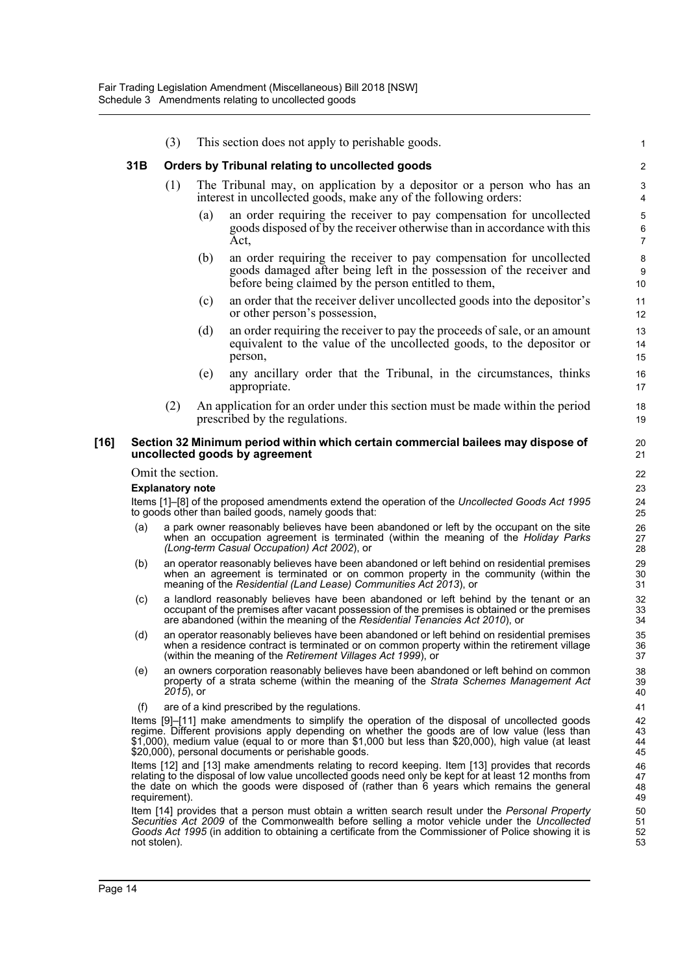|      |              | (3)                     |     | This section does not apply to perishable goods.                                                                                                                                                                                                                                                                                                            | 1                                  |
|------|--------------|-------------------------|-----|-------------------------------------------------------------------------------------------------------------------------------------------------------------------------------------------------------------------------------------------------------------------------------------------------------------------------------------------------------------|------------------------------------|
|      | 31B          |                         |     | Orders by Tribunal relating to uncollected goods                                                                                                                                                                                                                                                                                                            | $\overline{2}$                     |
|      |              | (1)                     |     | The Tribunal may, on application by a depositor or a person who has an<br>interest in uncollected goods, make any of the following orders:                                                                                                                                                                                                                  | 3<br>4                             |
|      |              |                         | (a) | an order requiring the receiver to pay compensation for uncollected<br>goods disposed of by the receiver otherwise than in accordance with this<br>Act,                                                                                                                                                                                                     | $\mathbf 5$<br>6<br>$\overline{7}$ |
|      |              |                         | (b) | an order requiring the receiver to pay compensation for uncollected<br>goods damaged after being left in the possession of the receiver and<br>before being claimed by the person entitled to them,                                                                                                                                                         | 8<br>9<br>10                       |
|      |              |                         | (c) | an order that the receiver deliver uncollected goods into the depositor's<br>or other person's possession,                                                                                                                                                                                                                                                  | 11<br>12                           |
|      |              |                         | (d) | an order requiring the receiver to pay the proceeds of sale, or an amount<br>equivalent to the value of the uncollected goods, to the depositor or<br>person,                                                                                                                                                                                               | 13<br>14<br>15                     |
|      |              |                         | (e) | any ancillary order that the Tribunal, in the circumstances, thinks<br>appropriate.                                                                                                                                                                                                                                                                         | 16<br>17                           |
|      |              | (2)                     |     | An application for an order under this section must be made within the period<br>prescribed by the regulations.                                                                                                                                                                                                                                             | 18<br>19                           |
| [16] |              |                         |     | Section 32 Minimum period within which certain commercial bailees may dispose of<br>uncollected goods by agreement                                                                                                                                                                                                                                          | 20<br>21                           |
|      |              | Omit the section.       |     |                                                                                                                                                                                                                                                                                                                                                             | 22                                 |
|      |              | <b>Explanatory note</b> |     |                                                                                                                                                                                                                                                                                                                                                             | 23                                 |
|      |              |                         |     | Items [1]-[8] of the proposed amendments extend the operation of the Uncollected Goods Act 1995<br>to goods other than bailed goods, namely goods that:                                                                                                                                                                                                     | 24<br>25                           |
|      | (a)          |                         |     | a park owner reasonably believes have been abandoned or left by the occupant on the site<br>when an occupation agreement is terminated (within the meaning of the <i>Holiday Parks</i><br>(Long-term Casual Occupation) Act 2002), or                                                                                                                       | 26<br>27<br>28                     |
|      | (b)          |                         |     | an operator reasonably believes have been abandoned or left behind on residential premises<br>when an agreement is terminated or on common property in the community (within the<br>meaning of the Residential (Land Lease) Communities Act 2013), or                                                                                                       | 29<br>30<br>31                     |
|      | (c)          |                         |     | a landlord reasonably believes have been abandoned or left behind by the tenant or an<br>occupant of the premises after vacant possession of the premises is obtained or the premises<br>are abandoned (within the meaning of the Residential Tenancies Act 2010), or                                                                                       | 32<br>33<br>34                     |
|      | (d)          |                         |     | an operator reasonably believes have been abandoned or left behind on residential premises<br>when a residence contract is terminated or on common property within the retirement village<br>(within the meaning of the Retirement Villages Act 1999), or                                                                                                   | 35<br>36<br>37                     |
|      | (e)          | 2015), or               |     | an owners corporation reasonably believes have been abandoned or left behind on common<br>property of a strata scheme (within the meaning of the Strata Schemes Management Act                                                                                                                                                                              | 38<br>39<br>40                     |
|      | (f)          |                         |     | are of a kind prescribed by the regulations.                                                                                                                                                                                                                                                                                                                | 41                                 |
|      |              |                         |     | Items [9]-[11] make amendments to simplify the operation of the disposal of uncollected goods<br>regime. Different provisions apply depending on whether the goods are of low value (less than<br>\$1,000), medium value (equal to or more than \$1,000 but less than \$20,000), high value (at least<br>\$20,000), personal documents or perishable goods. | 42<br>43<br>44<br>45               |
|      |              | requirement).           |     | Items [12] and [13] make amendments relating to record keeping. Item [13] provides that records<br>relating to the disposal of low value uncollected goods need only be kept for at least 12 months from<br>the date on which the goods were disposed of (rather than 6 years which remains the general                                                     | 46<br>47<br>48<br>49               |
|      | not stolen). |                         |     | Item [14] provides that a person must obtain a written search result under the Personal Property<br>Securities Act 2009 of the Commonwealth before selling a motor vehicle under the Uncollected<br>Goods Act 1995 (in addition to obtaining a certificate from the Commissioner of Police showing it is                                                    | 50<br>51<br>52<br>53               |
|      |              |                         |     |                                                                                                                                                                                                                                                                                                                                                             |                                    |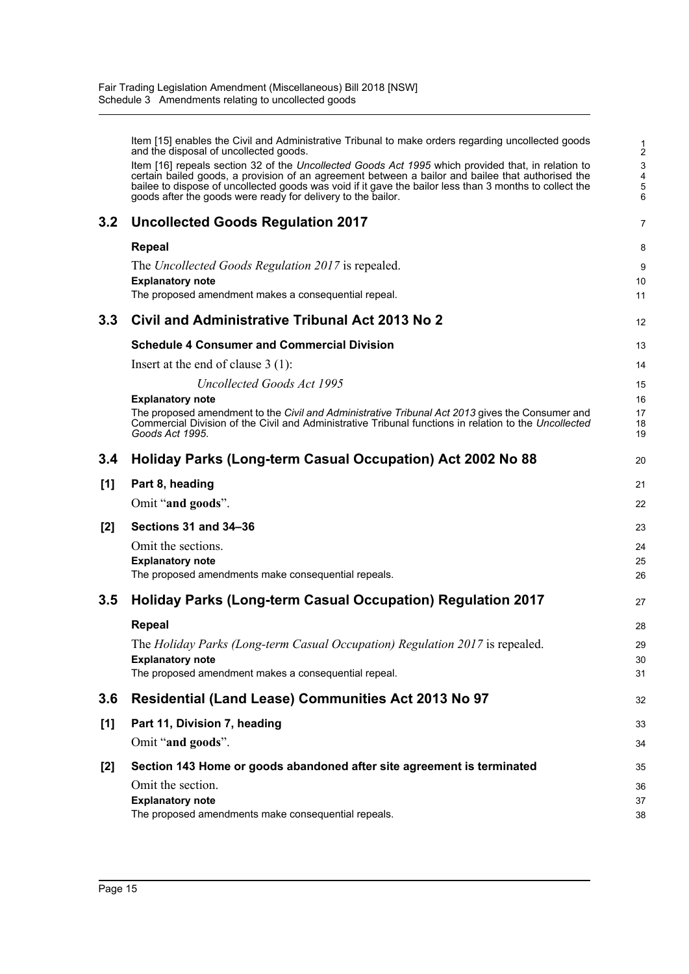|       | Item [15] enables the Civil and Administrative Tribunal to make orders regarding uncollected goods<br>and the disposal of uncollected goods.                                                                                                                                                                                                                                       |                 |
|-------|------------------------------------------------------------------------------------------------------------------------------------------------------------------------------------------------------------------------------------------------------------------------------------------------------------------------------------------------------------------------------------|-----------------|
|       | Item [16] repeals section 32 of the Uncollected Goods Act 1995 which provided that, in relation to<br>certain bailed goods, a provision of an agreement between a bailor and bailee that authorised the<br>bailee to dispose of uncollected goods was void if it gave the bailor less than 3 months to collect the<br>goods after the goods were ready for delivery to the bailor. | G<br>$\epsilon$ |
|       |                                                                                                                                                                                                                                                                                                                                                                                    |                 |
| 3.2   | <b>Uncollected Goods Regulation 2017</b>                                                                                                                                                                                                                                                                                                                                           | 7               |
|       | <b>Repeal</b>                                                                                                                                                                                                                                                                                                                                                                      | ε               |
|       | The Uncollected Goods Regulation 2017 is repealed.                                                                                                                                                                                                                                                                                                                                 | ς               |
|       | <b>Explanatory note</b>                                                                                                                                                                                                                                                                                                                                                            | 10              |
|       | The proposed amendment makes a consequential repeal.                                                                                                                                                                                                                                                                                                                               | 11              |
| 3.3   | Civil and Administrative Tribunal Act 2013 No 2                                                                                                                                                                                                                                                                                                                                    | 12              |
|       | <b>Schedule 4 Consumer and Commercial Division</b>                                                                                                                                                                                                                                                                                                                                 | 13              |
|       | Insert at the end of clause $3(1)$ :                                                                                                                                                                                                                                                                                                                                               | 14              |
|       | <b>Uncollected Goods Act 1995</b>                                                                                                                                                                                                                                                                                                                                                  | 15              |
|       | <b>Explanatory note</b><br>The proposed amendment to the <i>Civil and Administrative Tribunal Act 2013</i> gives the Consumer and                                                                                                                                                                                                                                                  | 16<br>17        |
|       | Commercial Division of the Civil and Administrative Tribunal functions in relation to the Uncollected<br>Goods Act 1995.                                                                                                                                                                                                                                                           | 18<br>19        |
| 3.4   | Holiday Parks (Long-term Casual Occupation) Act 2002 No 88                                                                                                                                                                                                                                                                                                                         | 20              |
| [1]   | Part 8, heading                                                                                                                                                                                                                                                                                                                                                                    | 21              |
|       | Omit "and goods".                                                                                                                                                                                                                                                                                                                                                                  | 22              |
| $[2]$ | Sections 31 and 34-36                                                                                                                                                                                                                                                                                                                                                              | 23              |
|       | Omit the sections.                                                                                                                                                                                                                                                                                                                                                                 | 24              |
|       | <b>Explanatory note</b>                                                                                                                                                                                                                                                                                                                                                            | 25              |
|       | The proposed amendments make consequential repeals.                                                                                                                                                                                                                                                                                                                                | 26              |
| 3.5   | <b>Holiday Parks (Long-term Casual Occupation) Regulation 2017</b>                                                                                                                                                                                                                                                                                                                 | 27              |
|       | <b>Repeal</b>                                                                                                                                                                                                                                                                                                                                                                      | 28              |
|       | The Holiday Parks (Long-term Casual Occupation) Regulation 2017 is repealed.                                                                                                                                                                                                                                                                                                       | 29              |
|       | <b>Explanatory note</b><br>The proposed amendment makes a consequential repeal.                                                                                                                                                                                                                                                                                                    | 30<br>31        |
|       |                                                                                                                                                                                                                                                                                                                                                                                    |                 |
| 3.6   | Residential (Land Lease) Communities Act 2013 No 97                                                                                                                                                                                                                                                                                                                                | 32              |
| [1]   | Part 11, Division 7, heading                                                                                                                                                                                                                                                                                                                                                       | 33              |
|       | Omit "and goods".                                                                                                                                                                                                                                                                                                                                                                  | 34              |
| [2]   | Section 143 Home or goods abandoned after site agreement is terminated                                                                                                                                                                                                                                                                                                             | 35              |
|       | Omit the section.                                                                                                                                                                                                                                                                                                                                                                  | 36              |
|       | <b>Explanatory note</b>                                                                                                                                                                                                                                                                                                                                                            | 37              |
|       | The proposed amendments make consequential repeals.                                                                                                                                                                                                                                                                                                                                | 38              |